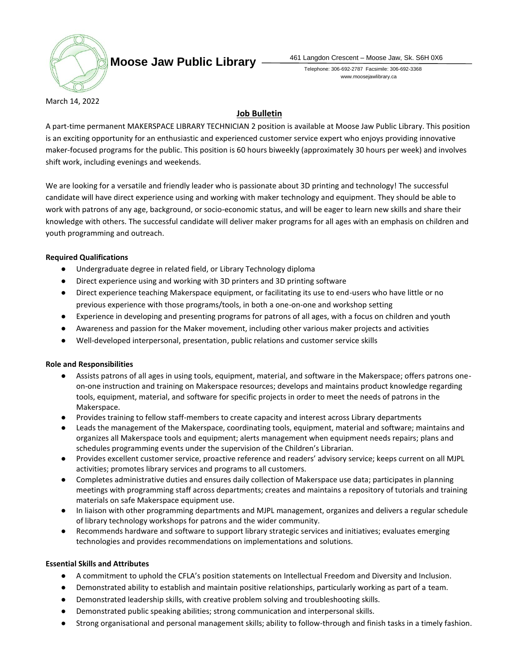

**Moose Jaw Public Library**  $\frac{461 \text{ Langdon Crescent - Moore Jaw, Sk. S6H 0X6}}{461 \text{ Langdon Crescent - Moore Jaw}}$ 

Telephone: 306-692-2787 Facsimile: 306-692-3368 www.moosejawlibrary.ca

March 14, 2022

# **Job Bulletin**

A part-time permanent MAKERSPACE LIBRARY TECHNICIAN 2 position is available at Moose Jaw Public Library. This position is an exciting opportunity for an enthusiastic and experienced customer service expert who enjoys providing innovative maker-focused programs for the public. This position is 60 hours biweekly (approximately 30 hours per week) and involves shift work, including evenings and weekends.

We are looking for a versatile and friendly leader who is passionate about 3D printing and technology! The successful candidate will have direct experience using and working with maker technology and equipment. They should be able to work with patrons of any age, background, or socio-economic status, and will be eager to learn new skills and share their knowledge with others. The successful candidate will deliver maker programs for all ages with an emphasis on children and youth programming and outreach.

## **Required Qualifications**

- Undergraduate degree in related field, or Library Technology diploma
- Direct experience using and working with 3D printers and 3D printing software
- Direct experience teaching Makerspace equipment, or facilitating its use to end-users who have little or no previous experience with those programs/tools, in both a one-on-one and workshop setting
- Experience in developing and presenting programs for patrons of all ages, with a focus on children and youth
- Awareness and passion for the Maker movement, including other various maker projects and activities
- Well-developed interpersonal, presentation, public relations and customer service skills

### **Role and Responsibilities**

- Assists patrons of all ages in using tools, equipment, material, and software in the Makerspace; offers patrons oneon-one instruction and training on Makerspace resources; develops and maintains product knowledge regarding tools, equipment, material, and software for specific projects in order to meet the needs of patrons in the Makerspace.
- Provides training to fellow staff-members to create capacity and interest across Library departments
- Leads the management of the Makerspace, coordinating tools, equipment, material and software; maintains and organizes all Makerspace tools and equipment; alerts management when equipment needs repairs; plans and schedules programming events under the supervision of the Children's Librarian.
- Provides excellent customer service, proactive reference and readers' advisory service; keeps current on all MJPL activities; promotes library services and programs to all customers.
- Completes administrative duties and ensures daily collection of Makerspace use data; participates in planning meetings with programming staff across departments; creates and maintains a repository of tutorials and training materials on safe Makerspace equipment use.
- In liaison with other programming departments and MJPL management, organizes and delivers a regular schedule of library technology workshops for patrons and the wider community.
- Recommends hardware and software to support library strategic services and initiatives; evaluates emerging technologies and provides recommendations on implementations and solutions.

### **Essential Skills and Attributes**

- A commitment to uphold the CFLA's position statements on Intellectual Freedom and Diversity and Inclusion.
- Demonstrated ability to establish and maintain positive relationships, particularly working as part of a team.
- Demonstrated leadership skills, with creative problem solving and troubleshooting skills.
- Demonstrated public speaking abilities; strong communication and interpersonal skills.
- Strong organisational and personal management skills; ability to follow-through and finish tasks in a timely fashion.